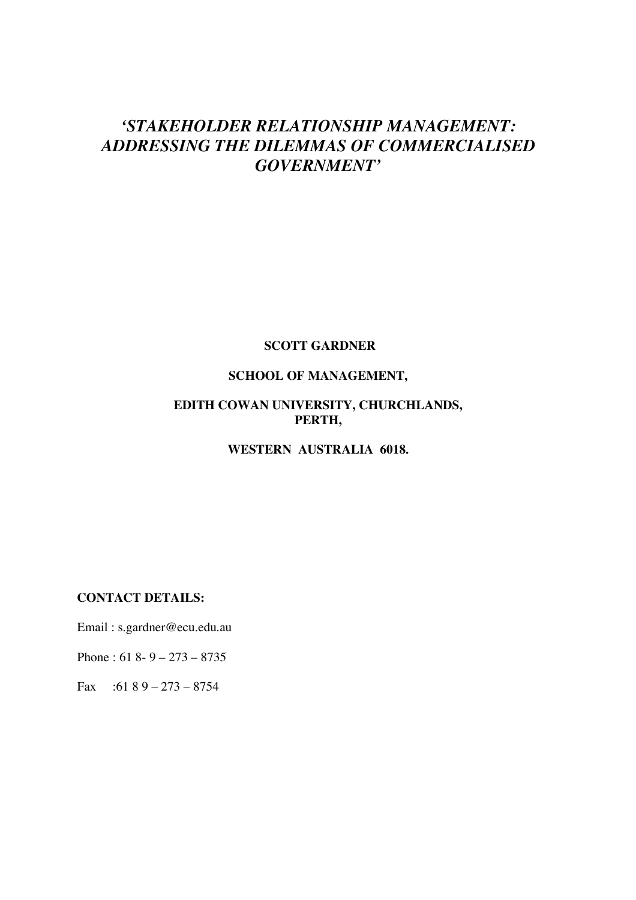# *'STAKEHOLDER RELATIONSHIP MANAGEMENT: ADDRESSING THE DILEMMAS OF COMMERCIALISED GOVERNMENT'*

### **SCOTT GARDNER**

# **SCHOOL OF MANAGEMENT,**

# **EDITH COWAN UNIVERSITY, CHURCHLANDS, PERTH,**

# **WESTERN AUSTRALIA 6018.**

# **CONTACT DETAILS:**

Email : s.gardner@ecu.edu.au

Phone : 61 8- 9 – 273 – 8735

Fax :61 8 9 – 273 – 8754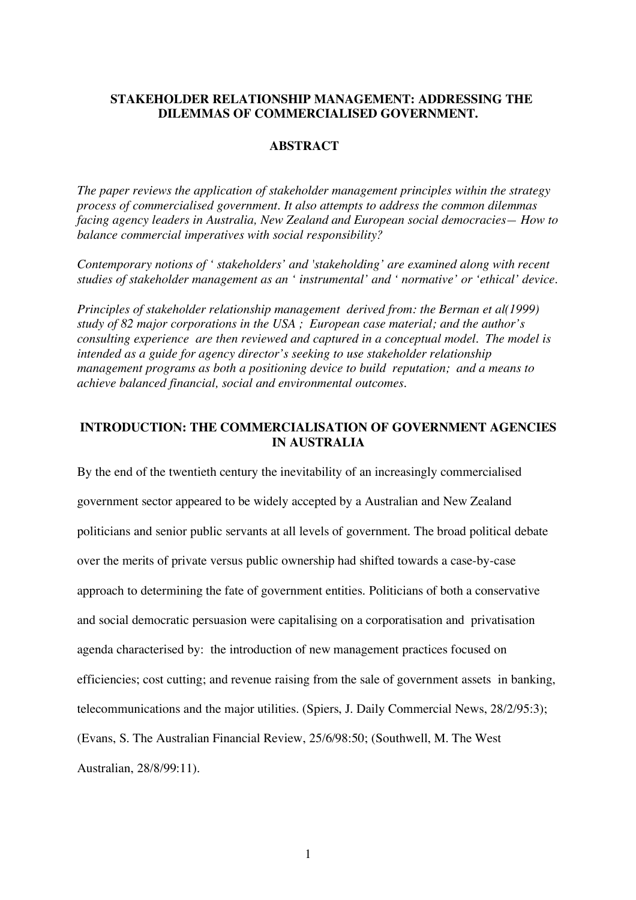### **STAKEHOLDER RELATIONSHIP MANAGEMENT: ADDRESSING THE DILEMMAS OF COMMERCIALISED GOVERNMENT.**

# **ABSTRACT**

*The paper reviews the application of stakeholder management principles within the strategy process of commercialised government. It also attempts to address the common dilemmas facing agency leaders in Australia, New Zealand and European social democracies— How to balance commercial imperatives with social responsibility?*

*Contemporary notions of ' stakeholders' and 'stakeholding' are examined along with recent studies of stakeholder management as an ' instrumental' and ' normative' or 'ethical' device.*

*Principles of stakeholder relationship management derived from: the Berman et al(1999) study of 82 major corporations in the USA ; European case material; and the author's consulting experience are then reviewed and captured in a conceptual model. The model is intended as a guide for agency director's seeking to use stakeholder relationship management programs as both a positioning device to build reputation; and a means to achieve balanced financial, social and environmental outcomes.*

## **INTRODUCTION: THE COMMERCIALISATION OF GOVERNMENT AGENCIES IN AUSTRALIA**

By the end of the twentieth century the inevitability of an increasingly commercialised government sector appeared to be widely accepted by a Australian and New Zealand politicians and senior public servants at all levels of government. The broad political debate over the merits of private versus public ownership had shifted towards a case-by-case approach to determining the fate of government entities. Politicians of both a conservative and social democratic persuasion were capitalising on a corporatisation and privatisation agenda characterised by: the introduction of new management practices focused on efficiencies; cost cutting; and revenue raising from the sale of government assets in banking, telecommunications and the major utilities. (Spiers, J. Daily Commercial News, 28/2/95:3); (Evans, S. The Australian Financial Review, 25/6/98:50; (Southwell, M. The West Australian, 28/8/99:11).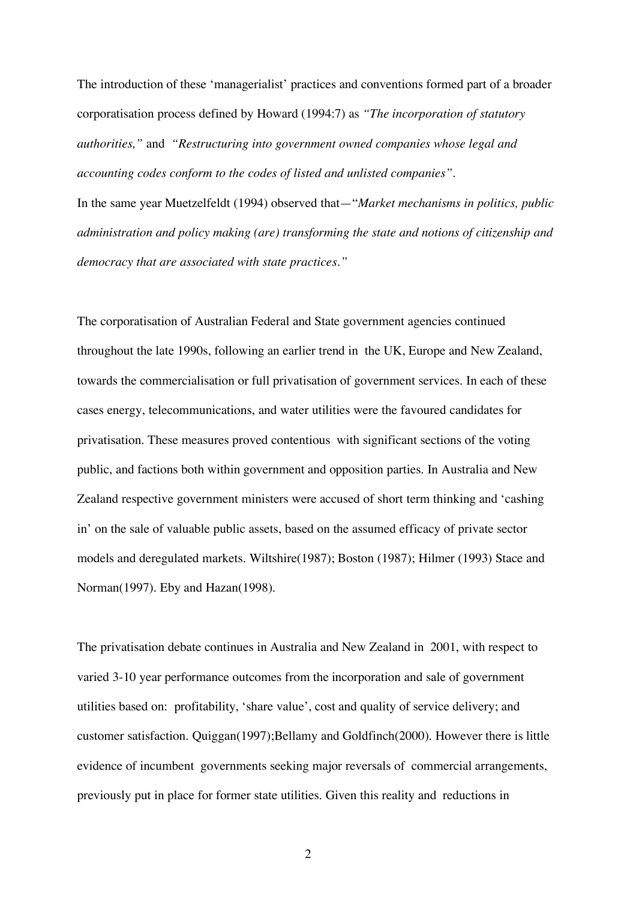The introduction of these 'managerialist' practices and conventions formed part of a broader corporatisation process defined by Howard (1994:7) as *"The incorporation of statutory authorities,"* and *"Restructuring into government owned companies whose legal and accounting codes conform to the codes of listed and unlisted companies"*.

In the same year Muetzelfeldt (1994) observed that—"*Market mechanisms in politics, public administration and policy making (are) transforming the state and notions of citizenship and democracy that are associated with state practices."*

The corporatisation of Australian Federal and State government agencies continued throughout the late 1990s, following an earlier trend in the UK, Europe and New Zealand, towards the commercialisation or full privatisation of government services. In each of these cases energy, telecommunications, and water utilities were the favoured candidates for privatisation. These measures proved contentious with significant sections of the voting public, and factions both within government and opposition parties. In Australia and New Zealand respective government ministers were accused of short term thinking and 'cashing in' on the sale of valuable public assets, based on the assumed efficacy of private sector models and deregulated markets. Wiltshire(1987); Boston (1987); Hilmer (1993) Stace and Norman(1997). Eby and Hazan(1998).

The privatisation debate continues in Australia and New Zealand in 2001, with respect to varied 3-10 year performance outcomes from the incorporation and sale of government utilities based on: profitability, 'share value', cost and quality of service delivery; and customer satisfaction. Quiggan(1997);Bellamy and Goldfinch(2000). However there is little evidence of incumbent governments seeking major reversals of commercial arrangements, previously put in place for former state utilities. Given this reality and reductions in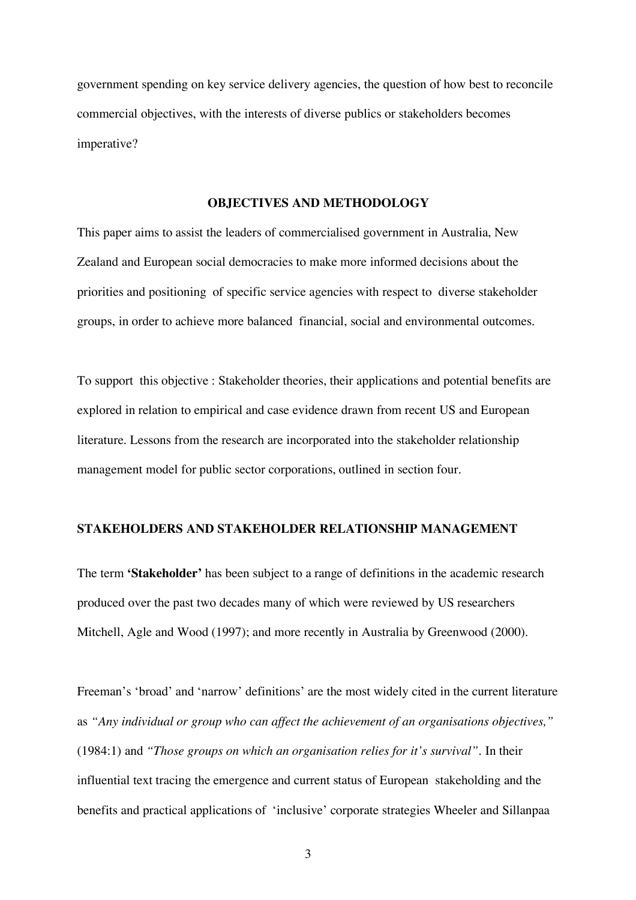government spending on key service delivery agencies, the question of how best to reconcile commercial objectives, with the interests of diverse publics or stakeholders becomes imperative?

#### **OBJECTIVES AND METHODOLOGY**

This paper aims to assist the leaders of commercialised government in Australia, New Zealand and European social democracies to make more informed decisions about the priorities and positioning of specific service agencies with respect to diverse stakeholder groups, in order to achieve more balanced financial, social and environmental outcomes.

To support this objective : Stakeholder theories, their applications and potential benefits are explored in relation to empirical and case evidence drawn from recent US and European literature. Lessons from the research are incorporated into the stakeholder relationship management model for public sector corporations, outlined in section four.

### **STAKEHOLDERS AND STAKEHOLDER RELATIONSHIP MANAGEMENT**

The term **'Stakeholder'** has been subject to a range of definitions in the academic research produced over the past two decades many of which were reviewed by US researchers Mitchell, Agle and Wood (1997); and more recently in Australia by Greenwood (2000).

Freeman's 'broad' and 'narrow' definitions' are the most widely cited in the current literature as *"Any individual or group who can affect the achievement of an organisations objectives,"* (1984:1) and *"Those groups on which an organisation relies for it's survival".* In their influential text tracing the emergence and current status of European stakeholding and the benefits and practical applications of 'inclusive' corporate strategies Wheeler and Sillanpaa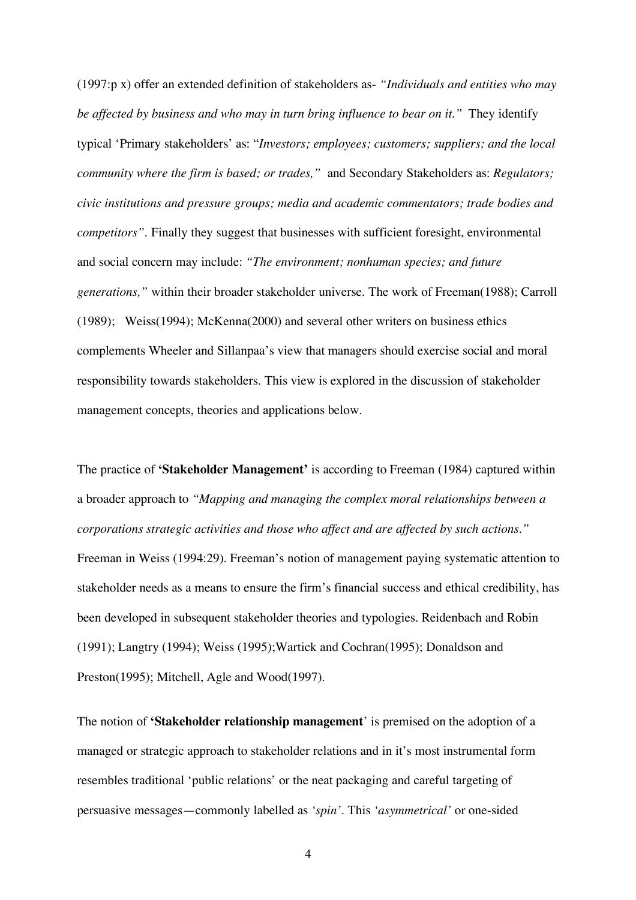(1997:p x) offer an extended definition of stakeholders as- *"Individuals and entities who may be affected by business and who may in turn bring influence to bear on it."* They identify typical 'Primary stakeholders' as: "*Investors; employees; customers; suppliers; and the local community where the firm is based; or trades,"* and Secondary Stakeholders as: *Regulators; civic institutions and pressure groups; media and academic commentators; trade bodies and competitors"*. Finally they suggest that businesses with sufficient foresight, environmental and social concern may include: *"The environment; nonhuman species; and future generations,"* within their broader stakeholder universe. The work of Freeman(1988); Carroll (1989); Weiss(1994); McKenna(2000) and several other writers on business ethics complements Wheeler and Sillanpaa's view that managers should exercise social and moral responsibility towards stakeholders. This view is explored in the discussion of stakeholder management concepts, theories and applications below.

The practice of **'Stakeholder Management'** is according to Freeman (1984) captured within a broader approach to *"Mapping and managing the complex moral relationships between a corporations strategic activities and those who affect and are affected by such actions."* Freeman in Weiss (1994:29). Freeman's notion of management paying systematic attention to stakeholder needs as a means to ensure the firm's financial success and ethical credibility, has been developed in subsequent stakeholder theories and typologies. Reidenbach and Robin (1991); Langtry (1994); Weiss (1995);Wartick and Cochran(1995); Donaldson and Preston(1995); Mitchell, Agle and Wood(1997).

The notion of **'Stakeholder relationship management**' is premised on the adoption of a managed or strategic approach to stakeholder relations and in it's most instrumental form resembles traditional 'public relations' or the neat packaging and careful targeting of persuasive messages—commonly labelled as *'spin'*. This *'asymmetrical'* or one-sided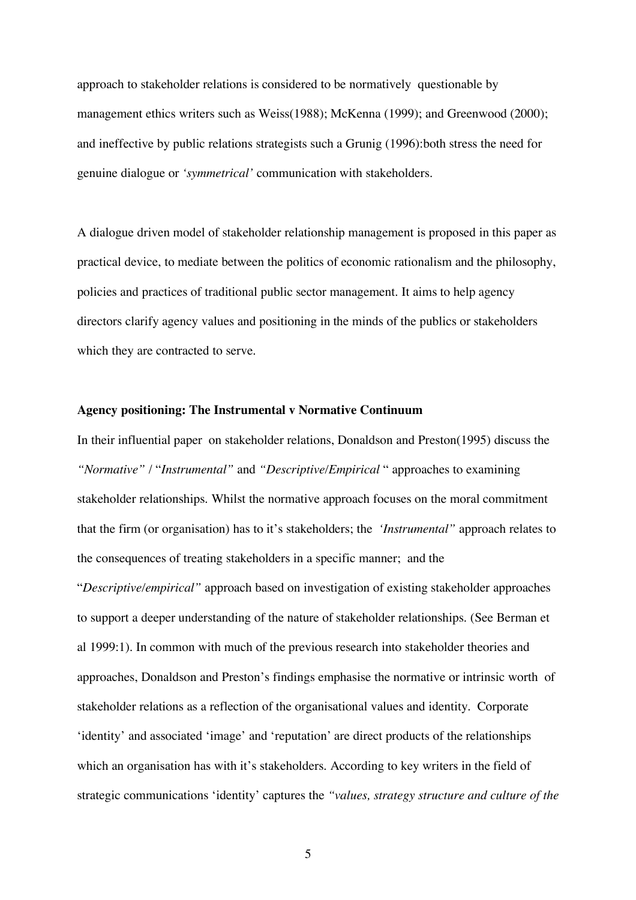approach to stakeholder relations is considered to be normatively questionable by management ethics writers such as Weiss(1988); McKenna (1999); and Greenwood (2000); and ineffective by public relations strategists such a Grunig (1996):both stress the need for genuine dialogue or *'symmetrical'* communication with stakeholders.

A dialogue driven model of stakeholder relationship management is proposed in this paper as practical device, to mediate between the politics of economic rationalism and the philosophy, policies and practices of traditional public sector management. It aims to help agency directors clarify agency values and positioning in the minds of the publics or stakeholders which they are contracted to serve.

### **Agency positioning: The Instrumental v Normative Continuum**

In their influential paper on stakeholder relations, Donaldson and Preston(1995) discuss the *"Normative"* / "*Instrumental"* and *"Descriptive/Empirical* " approaches to examining stakeholder relationships. Whilst the normative approach focuses on the moral commitment that the firm (or organisation) has to it's stakeholders; the *'Instrumental"* approach relates to the consequences of treating stakeholders in a specific manner; and the "*Descriptive/empirical"* approach based on investigation of existing stakeholder approaches to support a deeper understanding of the nature of stakeholder relationships. (See Berman et al 1999:1). In common with much of the previous research into stakeholder theories and approaches, Donaldson and Preston's findings emphasise the normative or intrinsic worth of stakeholder relations as a reflection of the organisational values and identity. Corporate 'identity' and associated 'image' and 'reputation' are direct products of the relationships which an organisation has with it's stakeholders. According to key writers in the field of strategic communications 'identity' captures the *"values, strategy structure and culture of the*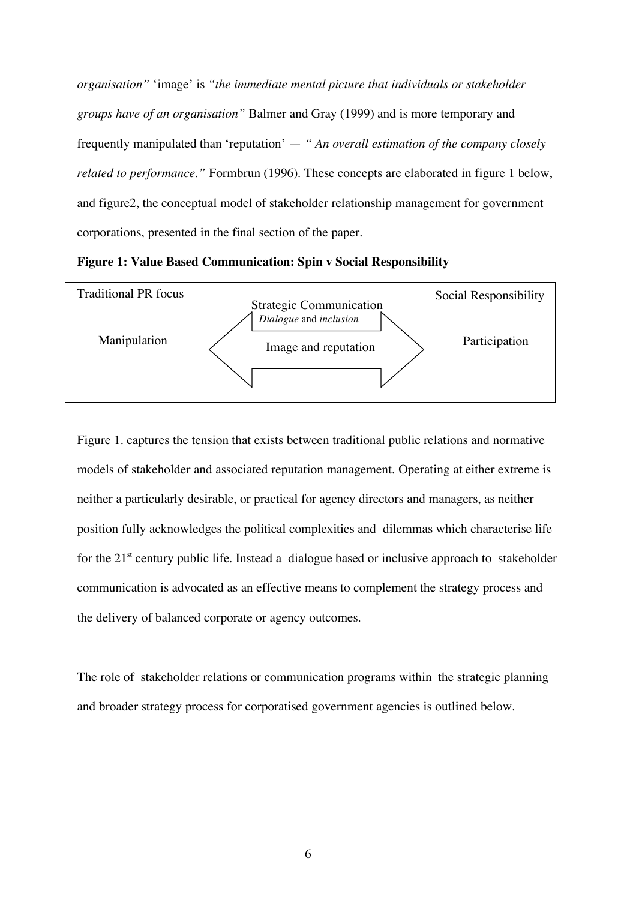*organisation"* 'image' is *"the immediate mental picture that individuals or stakeholder groups have of an organisation"* Balmer and Gray (1999) and is more temporary and frequently manipulated than 'reputation' — *" An overall estimation of the company closely related to performance.*" Formbrun (1996). These concepts are elaborated in figure 1 below, and figure2, the conceptual model of stakeholder relationship management for government corporations, presented in the final section of the paper.

**Figure 1: Value Based Communication: Spin v Social Responsibility**



Figure 1. captures the tension that exists between traditional public relations and normative models of stakeholder and associated reputation management. Operating at either extreme is neither a particularly desirable, or practical for agency directors and managers, as neither position fully acknowledges the political complexities and dilemmas which characterise life for the 21<sup>st</sup> century public life. Instead a dialogue based or inclusive approach to stakeholder communication is advocated as an effective means to complement the strategy process and the delivery of balanced corporate or agency outcomes.

The role of stakeholder relations or communication programs within the strategic planning and broader strategy process for corporatised government agencies is outlined below.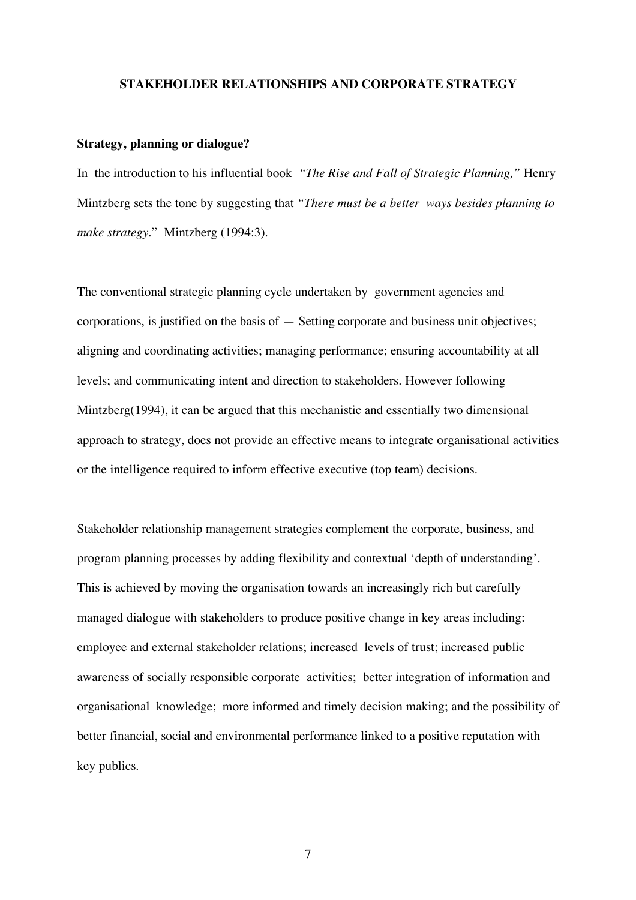#### **STAKEHOLDER RELATIONSHIPS AND CORPORATE STRATEGY**

#### **Strategy, planning or dialogue?**

In the introduction to his influential book *"The Rise and Fall of Strategic Planning,"* Henry Mintzberg sets the tone by suggesting that *"There must be a better ways besides planning to make strategy*." Mintzberg (1994:3).

The conventional strategic planning cycle undertaken by government agencies and corporations, is justified on the basis of — Setting corporate and business unit objectives; aligning and coordinating activities; managing performance; ensuring accountability at all levels; and communicating intent and direction to stakeholders. However following Mintzberg(1994), it can be argued that this mechanistic and essentially two dimensional approach to strategy, does not provide an effective means to integrate organisational activities or the intelligence required to inform effective executive (top team) decisions.

Stakeholder relationship management strategies complement the corporate, business, and program planning processes by adding flexibility and contextual 'depth of understanding'. This is achieved by moving the organisation towards an increasingly rich but carefully managed dialogue with stakeholders to produce positive change in key areas including: employee and external stakeholder relations; increased levels of trust; increased public awareness of socially responsible corporate activities; better integration of information and organisational knowledge; more informed and timely decision making; and the possibility of better financial, social and environmental performance linked to a positive reputation with key publics.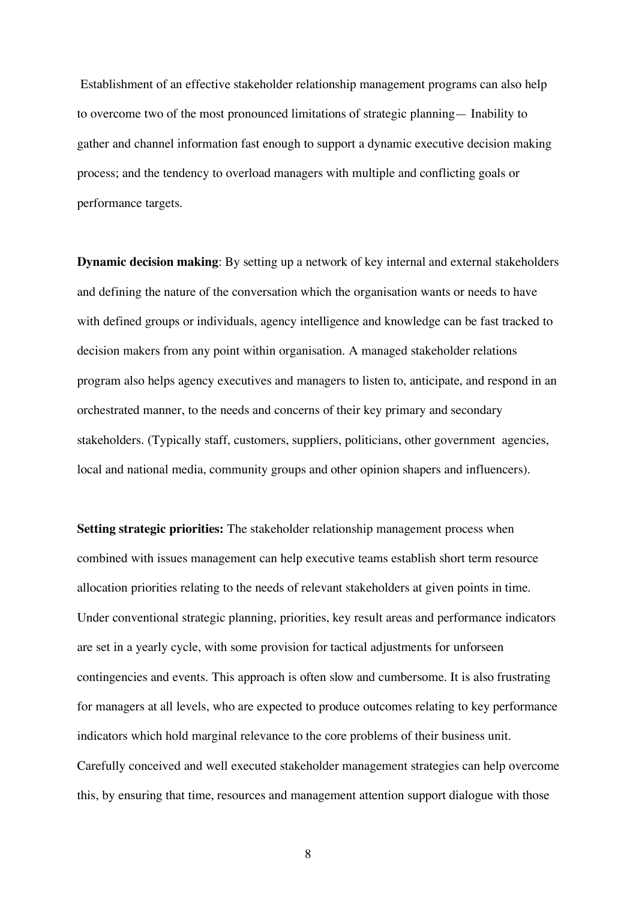Establishment of an effective stakeholder relationship management programs can also help to overcome two of the most pronounced limitations of strategic planning— Inability to gather and channel information fast enough to support a dynamic executive decision making process; and the tendency to overload managers with multiple and conflicting goals or performance targets.

**Dynamic decision making**: By setting up a network of key internal and external stakeholders and defining the nature of the conversation which the organisation wants or needs to have with defined groups or individuals, agency intelligence and knowledge can be fast tracked to decision makers from any point within organisation. A managed stakeholder relations program also helps agency executives and managers to listen to, anticipate, and respond in an orchestrated manner, to the needs and concerns of their key primary and secondary stakeholders. (Typically staff, customers, suppliers, politicians, other government agencies, local and national media, community groups and other opinion shapers and influencers).

**Setting strategic priorities:** The stakeholder relationship management process when combined with issues management can help executive teams establish short term resource allocation priorities relating to the needs of relevant stakeholders at given points in time. Under conventional strategic planning, priorities, key result areas and performance indicators are set in a yearly cycle, with some provision for tactical adjustments for unforseen contingencies and events. This approach is often slow and cumbersome. It is also frustrating for managers at all levels, who are expected to produce outcomes relating to key performance indicators which hold marginal relevance to the core problems of their business unit. Carefully conceived and well executed stakeholder management strategies can help overcome this, by ensuring that time, resources and management attention support dialogue with those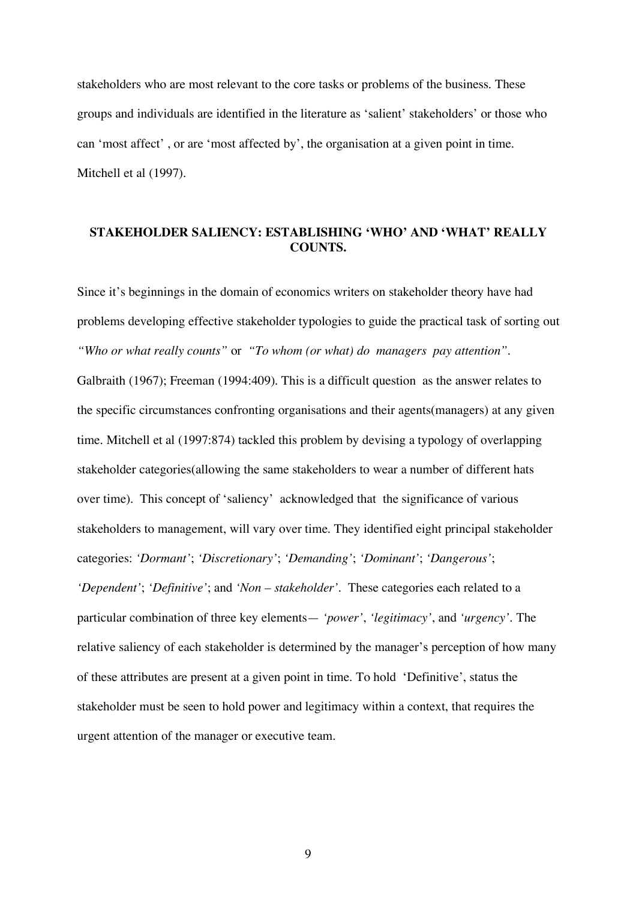stakeholders who are most relevant to the core tasks or problems of the business. These groups and individuals are identified in the literature as 'salient' stakeholders' or those who can 'most affect' , or are 'most affected by', the organisation at a given point in time. Mitchell et al (1997).

# **STAKEHOLDER SALIENCY: ESTABLISHING 'WHO' AND 'WHAT' REALLY COUNTS.**

Since it's beginnings in the domain of economics writers on stakeholder theory have had problems developing effective stakeholder typologies to guide the practical task of sorting out *"Who or what really counts"* or *"To whom (or what) do managers pay attention".* Galbraith (1967); Freeman (1994:409). This is a difficult question as the answer relates to the specific circumstances confronting organisations and their agents(managers) at any given time. Mitchell et al (1997:874) tackled this problem by devising a typology of overlapping stakeholder categories(allowing the same stakeholders to wear a number of different hats over time). This concept of 'saliency' acknowledged that the significance of various stakeholders to management, will vary over time. They identified eight principal stakeholder categories: *'Dormant'*; *'Discretionary'*; *'Demanding'*; *'Dominant'*; *'Dangerous'*; *'Dependent'*; *'Definitive'*; and *'Non – stakeholder'*. These categories each related to a particular combination of three key elements— *'power'*, *'legitimacy'*, and *'urgency'*. The relative saliency of each stakeholder is determined by the manager's perception of how many of these attributes are present at a given point in time. To hold 'Definitive', status the stakeholder must be seen to hold power and legitimacy within a context, that requires the urgent attention of the manager or executive team.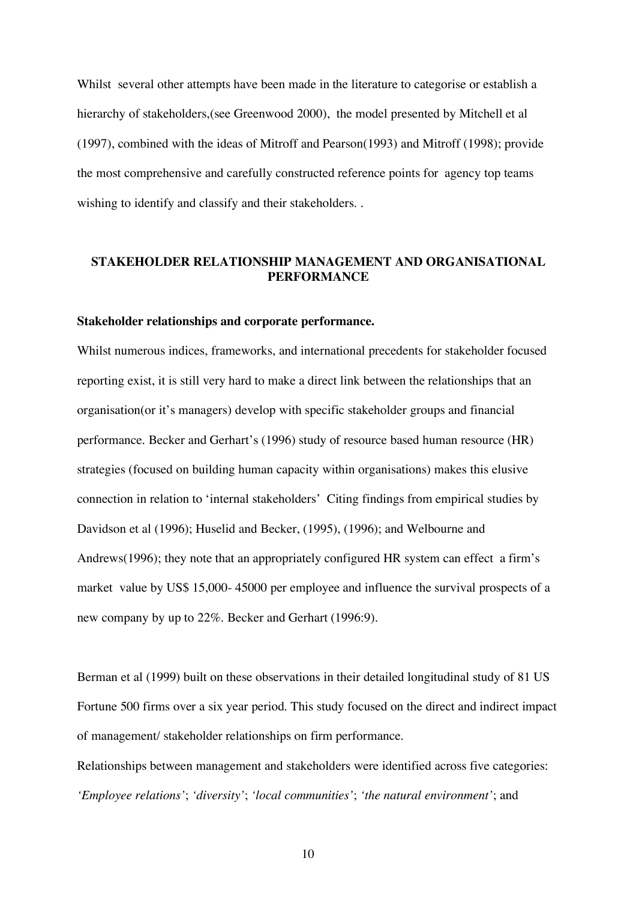Whilst several other attempts have been made in the literature to categorise or establish a hierarchy of stakeholders,(see Greenwood 2000), the model presented by Mitchell et al (1997), combined with the ideas of Mitroff and Pearson(1993) and Mitroff (1998); provide the most comprehensive and carefully constructed reference points for agency top teams wishing to identify and classify and their stakeholders. .

### **STAKEHOLDER RELATIONSHIP MANAGEMENT AND ORGANISATIONAL PERFORMANCE**

### **Stakeholder relationships and corporate performance.**

Whilst numerous indices, frameworks, and international precedents for stakeholder focused reporting exist, it is still very hard to make a direct link between the relationships that an organisation(or it's managers) develop with specific stakeholder groups and financial performance. Becker and Gerhart's (1996) study of resource based human resource (HR) strategies (focused on building human capacity within organisations) makes this elusive connection in relation to 'internal stakeholders' Citing findings from empirical studies by Davidson et al (1996); Huselid and Becker, (1995), (1996); and Welbourne and Andrews(1996); they note that an appropriately configured HR system can effect a firm's market value by US\$ 15,000- 45000 per employee and influence the survival prospects of a new company by up to 22%. Becker and Gerhart (1996:9).

Berman et al (1999) built on these observations in their detailed longitudinal study of 81 US Fortune 500 firms over a six year period. This study focused on the direct and indirect impact of management/ stakeholder relationships on firm performance.

Relationships between management and stakeholders were identified across five categories: *'Employee relations'*; *'diversity'*; *'local communities'*; *'the natural environment'*; and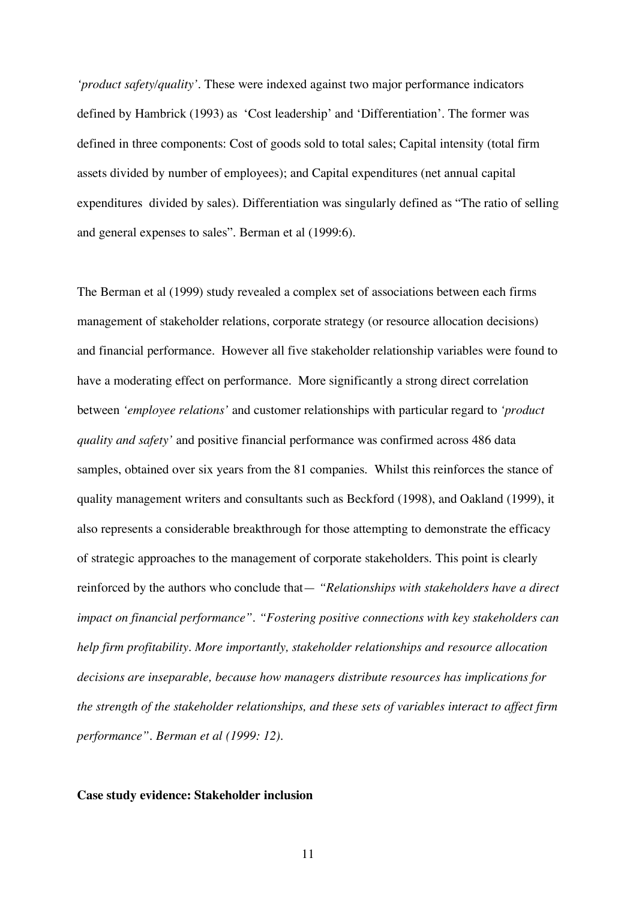*'product safety/quality'*. These were indexed against two major performance indicators defined by Hambrick (1993) as 'Cost leadership' and 'Differentiation'. The former was defined in three components: Cost of goods sold to total sales; Capital intensity (total firm assets divided by number of employees); and Capital expenditures (net annual capital expenditures divided by sales). Differentiation was singularly defined as "The ratio of selling and general expenses to sales". Berman et al (1999:6).

The Berman et al (1999) study revealed a complex set of associations between each firms management of stakeholder relations, corporate strategy (or resource allocation decisions) and financial performance. However all five stakeholder relationship variables were found to have a moderating effect on performance. More significantly a strong direct correlation between *'employee relations'* and customer relationships with particular regard to *'product quality and safety'* and positive financial performance was confirmed across 486 data samples, obtained over six years from the 81 companies. Whilst this reinforces the stance of quality management writers and consultants such as Beckford (1998), and Oakland (1999), it also represents a considerable breakthrough for those attempting to demonstrate the efficacy of strategic approaches to the management of corporate stakeholders. This point is clearly reinforced by the authors who conclude that— *"Relationships with stakeholders have a direct impact on financial performance". "Fostering positive connections with key stakeholders can help firm profitability. More importantly, stakeholder relationships and resource allocation decisions are inseparable, because how managers distribute resources has implications for the strength of the stakeholder relationships, and these sets of variables interact to affect firm performance". Berman et al (1999: 12).*

#### **Case study evidence: Stakeholder inclusion**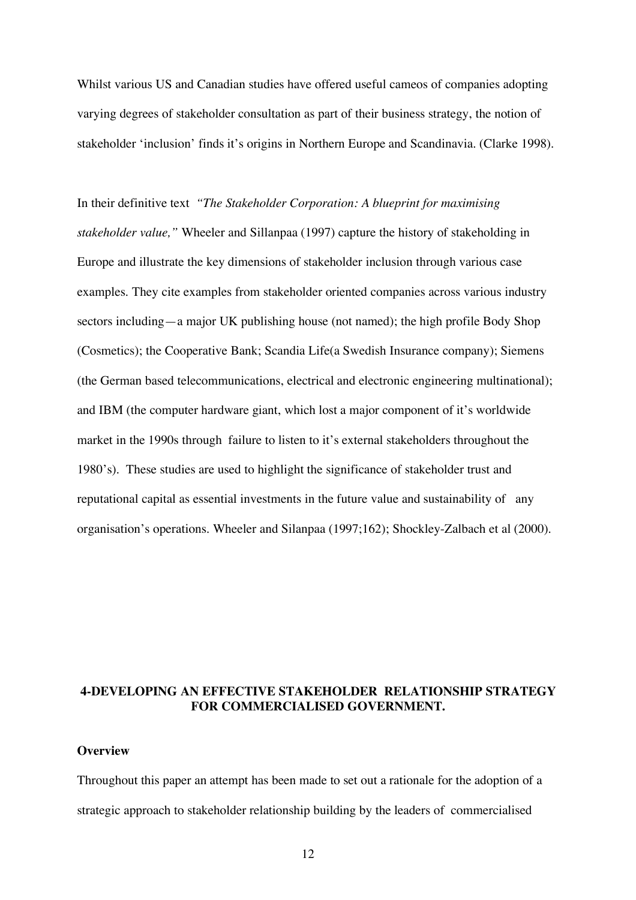Whilst various US and Canadian studies have offered useful cameos of companies adopting varying degrees of stakeholder consultation as part of their business strategy, the notion of stakeholder 'inclusion' finds it's origins in Northern Europe and Scandinavia. (Clarke 1998).

In their definitive text *"The Stakeholder Corporation: A blueprint for maximising stakeholder value,"* Wheeler and Sillanpaa (1997) capture the history of stakeholding in Europe and illustrate the key dimensions of stakeholder inclusion through various case examples. They cite examples from stakeholder oriented companies across various industry sectors including—a major UK publishing house (not named); the high profile Body Shop (Cosmetics); the Cooperative Bank; Scandia Life(a Swedish Insurance company); Siemens (the German based telecommunications, electrical and electronic engineering multinational); and IBM (the computer hardware giant, which lost a major component of it's worldwide market in the 1990s through failure to listen to it's external stakeholders throughout the 1980's). These studies are used to highlight the significance of stakeholder trust and reputational capital as essential investments in the future value and sustainability of any organisation's operations. Wheeler and Silanpaa (1997;162); Shockley-Zalbach et al (2000).

# **4-DEVELOPING AN EFFECTIVE STAKEHOLDER RELATIONSHIP STRATEGY FOR COMMERCIALISED GOVERNMENT.**

#### **Overview**

Throughout this paper an attempt has been made to set out a rationale for the adoption of a strategic approach to stakeholder relationship building by the leaders of commercialised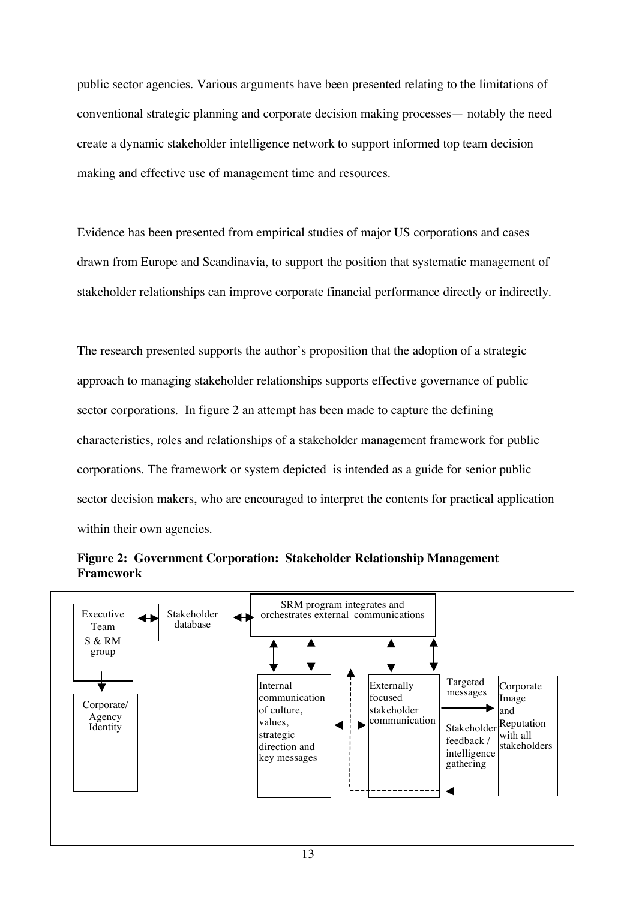public sector agencies. Various arguments have been presented relating to the limitations of conventional strategic planning and corporate decision making processes— notably the need create a dynamic stakeholder intelligence network to support informed top team decision making and effective use of management time and resources.

Evidence has been presented from empirical studies of major US corporations and cases drawn from Europe and Scandinavia, to support the position that systematic management of stakeholder relationships can improve corporate financial performance directly or indirectly.

The research presented supports the author's proposition that the adoption of a strategic approach to managing stakeholder relationships supports effective governance of public sector corporations. In figure 2 an attempt has been made to capture the defining characteristics, roles and relationships of a stakeholder management framework for public corporations. The framework or system depicted is intended as a guide for senior public sector decision makers, who are encouraged to interpret the contents for practical application within their own agencies.



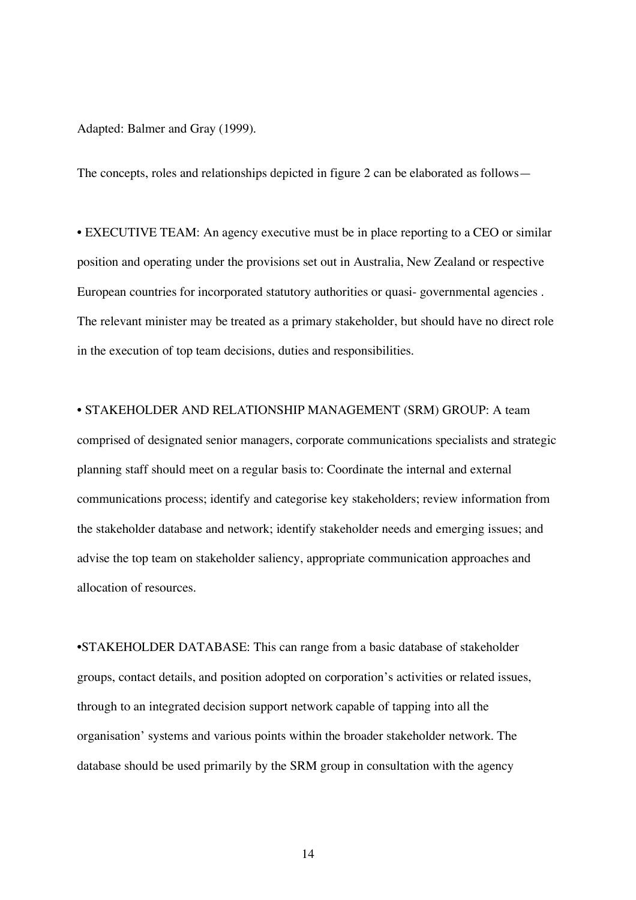Adapted: Balmer and Gray (1999).

The concepts, roles and relationships depicted in figure 2 can be elaborated as follows—

• EXECUTIVE TEAM: An agency executive must be in place reporting to a CEO or similar position and operating under the provisions set out in Australia, New Zealand or respective European countries for incorporated statutory authorities or quasi- governmental agencies . The relevant minister may be treated as a primary stakeholder, but should have no direct role in the execution of top team decisions, duties and responsibilities.

• STAKEHOLDER AND RELATIONSHIP MANAGEMENT (SRM) GROUP: A team comprised of designated senior managers, corporate communications specialists and strategic planning staff should meet on a regular basis to: Coordinate the internal and external communications process; identify and categorise key stakeholders; review information from the stakeholder database and network; identify stakeholder needs and emerging issues; and advise the top team on stakeholder saliency, appropriate communication approaches and allocation of resources.

•STAKEHOLDER DATABASE: This can range from a basic database of stakeholder groups, contact details, and position adopted on corporation's activities or related issues, through to an integrated decision support network capable of tapping into all the organisation' systems and various points within the broader stakeholder network. The database should be used primarily by the SRM group in consultation with the agency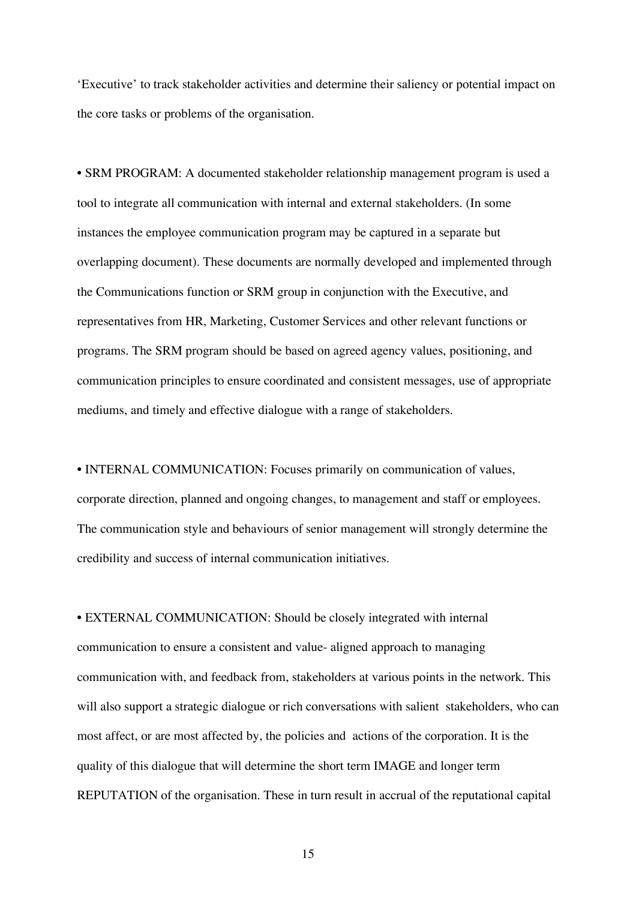'Executive' to track stakeholder activities and determine their saliency or potential impact on the core tasks or problems of the organisation.

• SRM PROGRAM: A documented stakeholder relationship management program is used a tool to integrate all communication with internal and external stakeholders. (In some instances the employee communication program may be captured in a separate but overlapping document). These documents are normally developed and implemented through the Communications function or SRM group in conjunction with the Executive, and representatives from HR, Marketing, Customer Services and other relevant functions or programs. The SRM program should be based on agreed agency values, positioning, and communication principles to ensure coordinated and consistent messages, use of appropriate mediums, and timely and effective dialogue with a range of stakeholders.

• INTERNAL COMMUNICATION: Focuses primarily on communication of values, corporate direction, planned and ongoing changes, to management and staff or employees. The communication style and behaviours of senior management will strongly determine the credibility and success of internal communication initiatives.

• EXTERNAL COMMUNICATION: Should be closely integrated with internal communication to ensure a consistent and value- aligned approach to managing communication with, and feedback from, stakeholders at various points in the network. This will also support a strategic dialogue or rich conversations with salient stakeholders, who can most affect, or are most affected by, the policies and actions of the corporation. It is the quality of this dialogue that will determine the short term IMAGE and longer term REPUTATION of the organisation. These in turn result in accrual of the reputational capital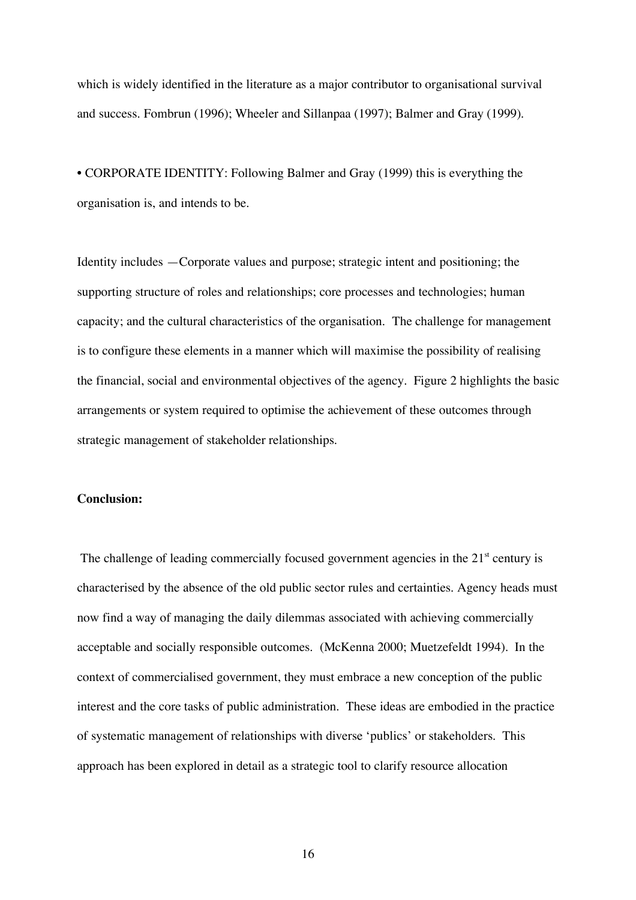which is widely identified in the literature as a major contributor to organisational survival and success. Fombrun (1996); Wheeler and Sillanpaa (1997); Balmer and Gray (1999).

• CORPORATE IDENTITY: Following Balmer and Gray (1999) this is everything the organisation is, and intends to be.

Identity includes —Corporate values and purpose; strategic intent and positioning; the supporting structure of roles and relationships; core processes and technologies; human capacity; and the cultural characteristics of the organisation. The challenge for management is to configure these elements in a manner which will maximise the possibility of realising the financial, social and environmental objectives of the agency. Figure 2 highlights the basic arrangements or system required to optimise the achievement of these outcomes through strategic management of stakeholder relationships.

### **Conclusion:**

The challenge of leading commercially focused government agencies in the 21<sup>st</sup> century is characterised by the absence of the old public sector rules and certainties. Agency heads must now find a way of managing the daily dilemmas associated with achieving commercially acceptable and socially responsible outcomes. (McKenna 2000; Muetzefeldt 1994). In the context of commercialised government, they must embrace a new conception of the public interest and the core tasks of public administration. These ideas are embodied in the practice of systematic management of relationships with diverse 'publics' or stakeholders. This approach has been explored in detail as a strategic tool to clarify resource allocation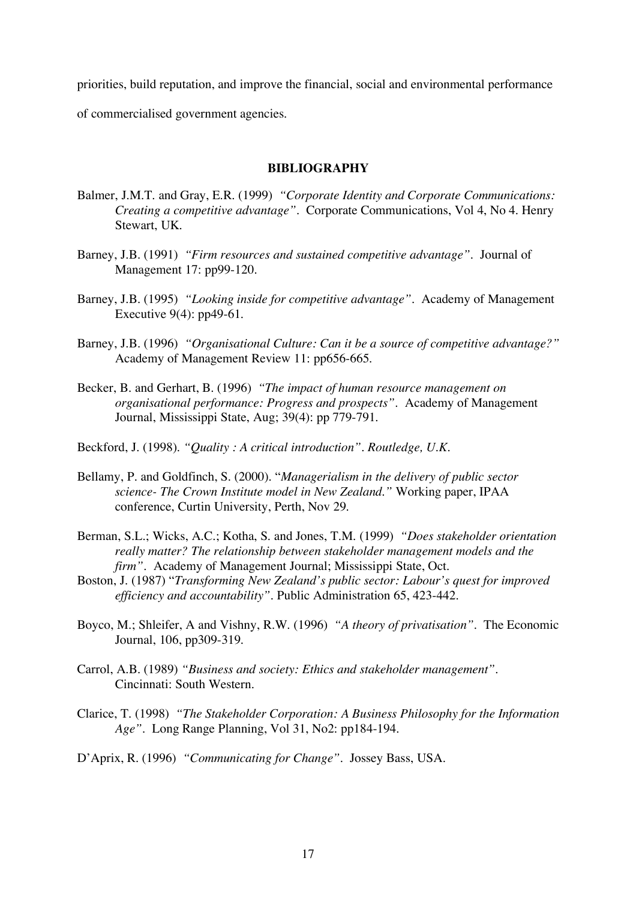priorities, build reputation, and improve the financial, social and environmental performance of commercialised government agencies.

### **BIBLIOGRAPHY**

- Balmer, J.M.T. and Gray, E.R. (1999) *"Corporate Identity and Corporate Communications: Creating a competitive advantage".* Corporate Communications, Vol 4, No 4. Henry Stewart, UK.
- Barney, J.B. (1991) *"Firm resources and sustained competitive advantage".* Journal of Management 17: pp99-120.
- Barney, J.B. (1995) *"Looking inside for competitive advantage".* Academy of Management Executive 9(4): pp49-61.
- Barney, J.B. (1996) *"Organisational Culture: Can it be a source of competitive advantage?"* Academy of Management Review 11: pp656-665.
- Becker, B. and Gerhart, B. (1996) *"The impact of human resource management on organisational performance: Progress and prospects"*. Academy of Management Journal, Mississippi State, Aug; 39(4): pp 779-791.
- Beckford, J. (1998). *"Quality : A critical introduction". Routledge, U.K.*
- Bellamy, P. and Goldfinch, S. (2000). "*Managerialism in the delivery of public sector science- The Crown Institute model in New Zealand."* Working paper, IPAA conference, Curtin University, Perth, Nov 29.
- Berman, S.L.; Wicks, A.C.; Kotha, S. and Jones, T.M. (1999) *"Does stakeholder orientation really matter? The relationship between stakeholder management models and the firm"*. Academy of Management Journal; Mississippi State, Oct.
- Boston, J. (1987) "*Transforming New Zealand's public sector: Labour's quest for improved efficiency and accountability".* Public Administration 65, 423-442.
- Boyco, M.; Shleifer, A and Vishny, R.W. (1996) *"A theory of privatisation"*. The Economic Journal, 106, pp309-319.
- Carrol, A.B. (1989) *"Business and society: Ethics and stakeholder management"*. Cincinnati: South Western.
- Clarice, T. (1998) *"The Stakeholder Corporation: A Business Philosophy for the Information Age"*. Long Range Planning, Vol 31, No2: pp184-194.
- D'Aprix, R. (1996) *"Communicating for Change"*. Jossey Bass, USA.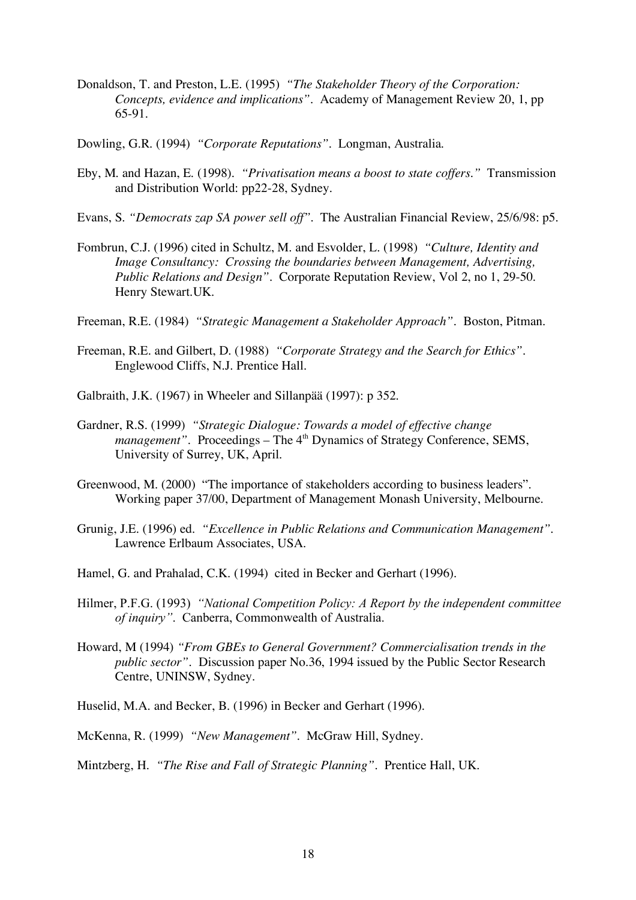- Donaldson, T. and Preston, L.E. (1995) *"The Stakeholder Theory of the Corporation: Concepts, evidence and implications".* Academy of Management Review 20, 1, pp 65-91.
- Dowling, G.R. (1994) *"Corporate Reputations"*. Longman, Australia.
- Eby, M. and Hazan, E. (1998). *"Privatisation means a boost to state coffers."* Transmission and Distribution World: pp22-28, Sydney.
- Evans, S. *"Democrats zap SA power sell off"*. The Australian Financial Review, 25/6/98: p5.
- Fombrun, C.J. (1996) cited in Schultz, M. and Esvolder, L. (1998) *"Culture, Identity and Image Consultancy: Crossing the boundaries between Management, Advertising, Public Relations and Design"*. Corporate Reputation Review, Vol 2, no 1, 29-50. Henry Stewart.UK.
- Freeman, R.E. (1984) *"Strategic Management a Stakeholder Approach"*. Boston, Pitman.
- Freeman, R.E. and Gilbert, D. (1988) *"Corporate Strategy and the Search for Ethics"*. Englewood Cliffs, N.J. Prentice Hall.
- Galbraith, J.K. (1967) in Wheeler and Sillanpää (1997): p 352.
- Gardner, R.S. (1999) *"Strategic Dialogue: Towards a model of effective change management"*. Proceedings – The 4<sup>th</sup> Dynamics of Strategy Conference, SEMS, University of Surrey, UK, April.
- Greenwood, M. (2000) "The importance of stakeholders according to business leaders". Working paper 37/00, Department of Management Monash University, Melbourne.
- Grunig, J.E. (1996) ed. *"Excellence in Public Relations and Communication Management".* Lawrence Erlbaum Associates, USA.
- Hamel, G. and Prahalad, C.K. (1994) cited in Becker and Gerhart (1996).
- Hilmer, P.F.G. (1993) *"National Competition Policy: A Report by the independent committee of inquiry"*. Canberra, Commonwealth of Australia.
- Howard, M (1994) *"From GBEs to General Government? Commercialisation trends in the public sector"*. Discussion paper No.36, 1994 issued by the Public Sector Research Centre, UNINSW, Sydney.
- Huselid, M.A. and Becker, B. (1996) in Becker and Gerhart (1996).
- McKenna, R. (1999) *"New Management"*. McGraw Hill, Sydney.
- Mintzberg, H. *"The Rise and Fall of Strategic Planning"*. Prentice Hall, UK.